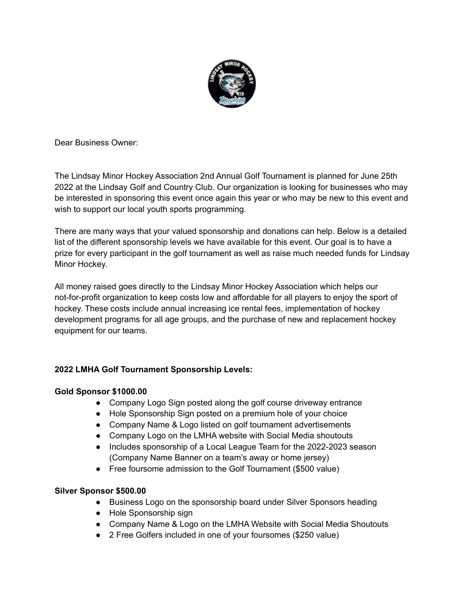

Dear Business Owner:

The Lindsay Minor Hockey Association 2nd Annual Golf Tournament is planned for June 25th 2022 at the Lindsay Golf and Country Club. Our organization is looking for businesses who may be interested in sponsoring this event once again this year or who may be new to this event and wish to support our local youth sports programming.

There are many ways that your valued sponsorship and donations can help. Below is a detailed list of the different sponsorship levels we have available for this event. Our goal is to have a prize for every participant in the golf tournament as well as raise much needed funds for Lindsay Minor Hockey.

All money raised goes directly to the Lindsay Minor Hockey Association which helps our not-for-profit organization to keep costs low and affordable for all players to enjoy the sport of hockey. These costs include annual increasing ice rental fees, implementation of hockey development programs for all age groups, and the purchase of new and replacement hockey equipment for our teams.

# **2022 LMHA Golf Tournament Sponsorship Levels:**

# **Gold Sponsor \$1000.00**

- Company Logo Sign posted along the golf course driveway entrance
- Hole Sponsorship Sign posted on a premium hole of your choice
- Company Name & Logo listed on golf tournament advertisements
- Company Logo on the LMHA website with Social Media shoutouts
- Includes sponsorship of a Local League Team for the 2022-2023 season (Company Name Banner on a team's away or home jersey)
- Free foursome admission to the Golf Tournament (\$500 value)

# **Silver Sponsor \$500.00**

- Business Logo on the sponsorship board under Silver Sponsors heading
- Hole Sponsorship sign
- Company Name & Logo on the LMHA Website with Social Media Shoutouts
- 2 Free Golfers included in one of your foursomes (\$250 value)